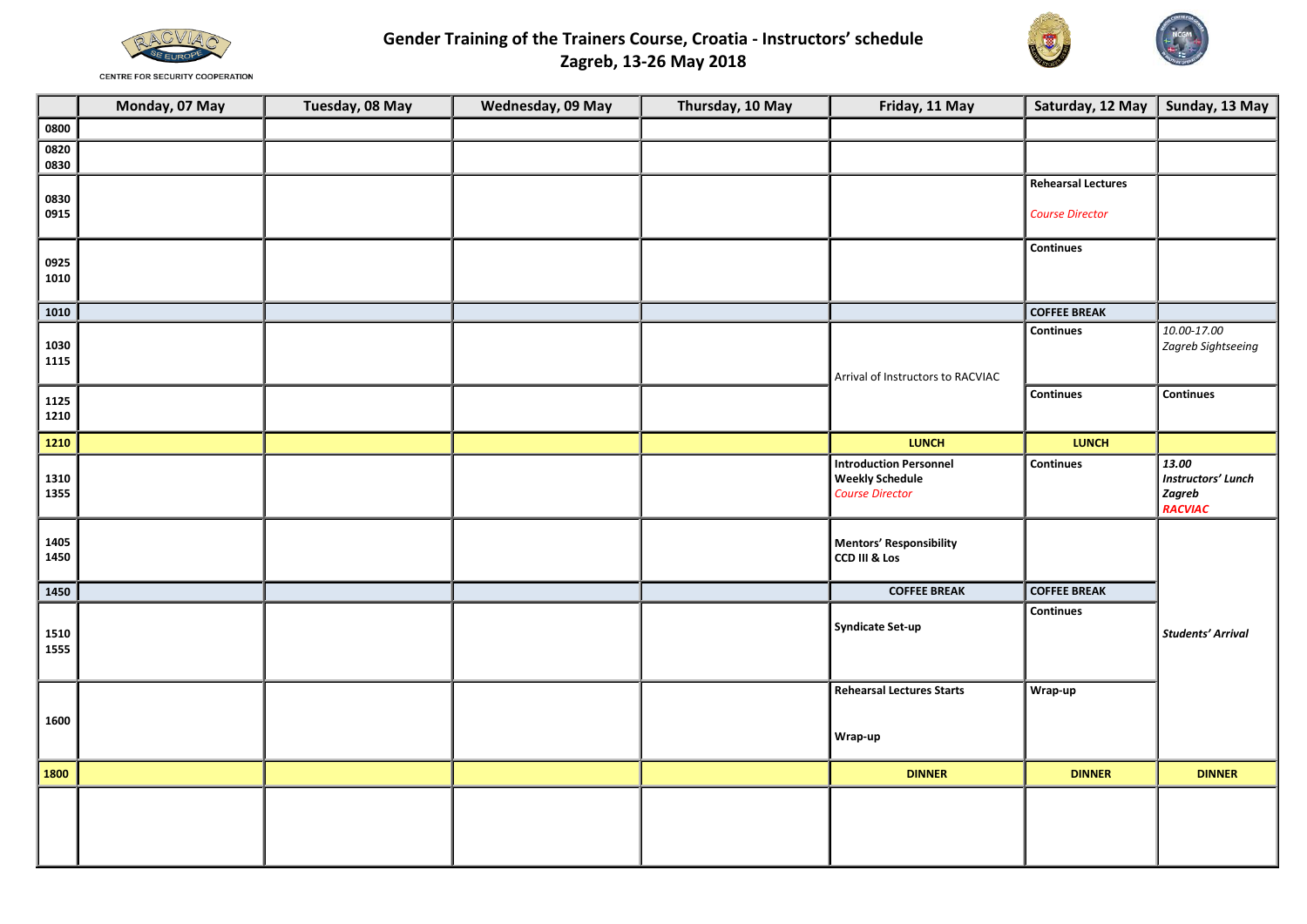

**Gender Training of the Trainers Course, Croatia - Instructors' schedule Zagreb, 13-26 May 2018** 



**CENTRE FOR SECURITY COOPERATION** 

|              | Monday, 07 May | Tuesday, 08 May | Wednesday, 09 May | Thursday, 10 May | Friday, 11 May                                                                    | Saturday, 12 May   Sunday, 13 May |                                                         |
|--------------|----------------|-----------------|-------------------|------------------|-----------------------------------------------------------------------------------|-----------------------------------|---------------------------------------------------------|
| 0800         |                |                 |                   |                  |                                                                                   |                                   |                                                         |
| 0820<br>0830 |                |                 |                   |                  |                                                                                   |                                   |                                                         |
|              |                |                 |                   |                  |                                                                                   | <b>Rehearsal Lectures</b>         |                                                         |
| 0830<br>0915 |                |                 |                   |                  |                                                                                   | <b>Course Director</b>            |                                                         |
| 0925<br>1010 |                |                 |                   |                  |                                                                                   | Continues                         |                                                         |
| 1010         |                |                 |                   |                  |                                                                                   | <b>COFFEE BREAK</b>               |                                                         |
| 1030<br>1115 |                |                 |                   |                  | Arrival of Instructors to RACVIAC                                                 | Continues                         | 10.00-17.00<br>Zagreb Sightseeing                       |
| 1125<br>1210 |                |                 |                   |                  |                                                                                   | <b>Continues</b>                  | <b>Continues</b>                                        |
| 1210         |                |                 |                   |                  | <b>LUNCH</b>                                                                      | <b>LUNCH</b>                      |                                                         |
| 1310<br>1355 |                |                 |                   |                  | <b>Introduction Personnel</b><br><b>Weekly Schedule</b><br><b>Course Director</b> | Continues                         | 13.00<br><b>Instructors' Lunch</b><br>Zagreb<br>RACVIAC |
| 1405<br>1450 |                |                 |                   |                  | <b>Mentors' Responsibility</b><br>CCD III & Los                                   |                                   |                                                         |
| 1450         |                |                 |                   |                  | <b>COFFEE BREAK</b>                                                               | <b>COFFEE BREAK</b>               |                                                         |
| 1510<br>1555 |                |                 |                   |                  | <b>Syndicate Set-up</b>                                                           | Continues                         | <b>Students' Arrival</b>                                |
| 1600         |                |                 |                   |                  | <b>Rehearsal Lectures Starts</b><br>Wrap-up                                       | Wrap-up                           |                                                         |
| 1800         |                |                 |                   |                  | <b>DINNER</b>                                                                     | <b>DINNER</b>                     | <b>DINNER</b>                                           |
|              |                |                 |                   |                  |                                                                                   |                                   |                                                         |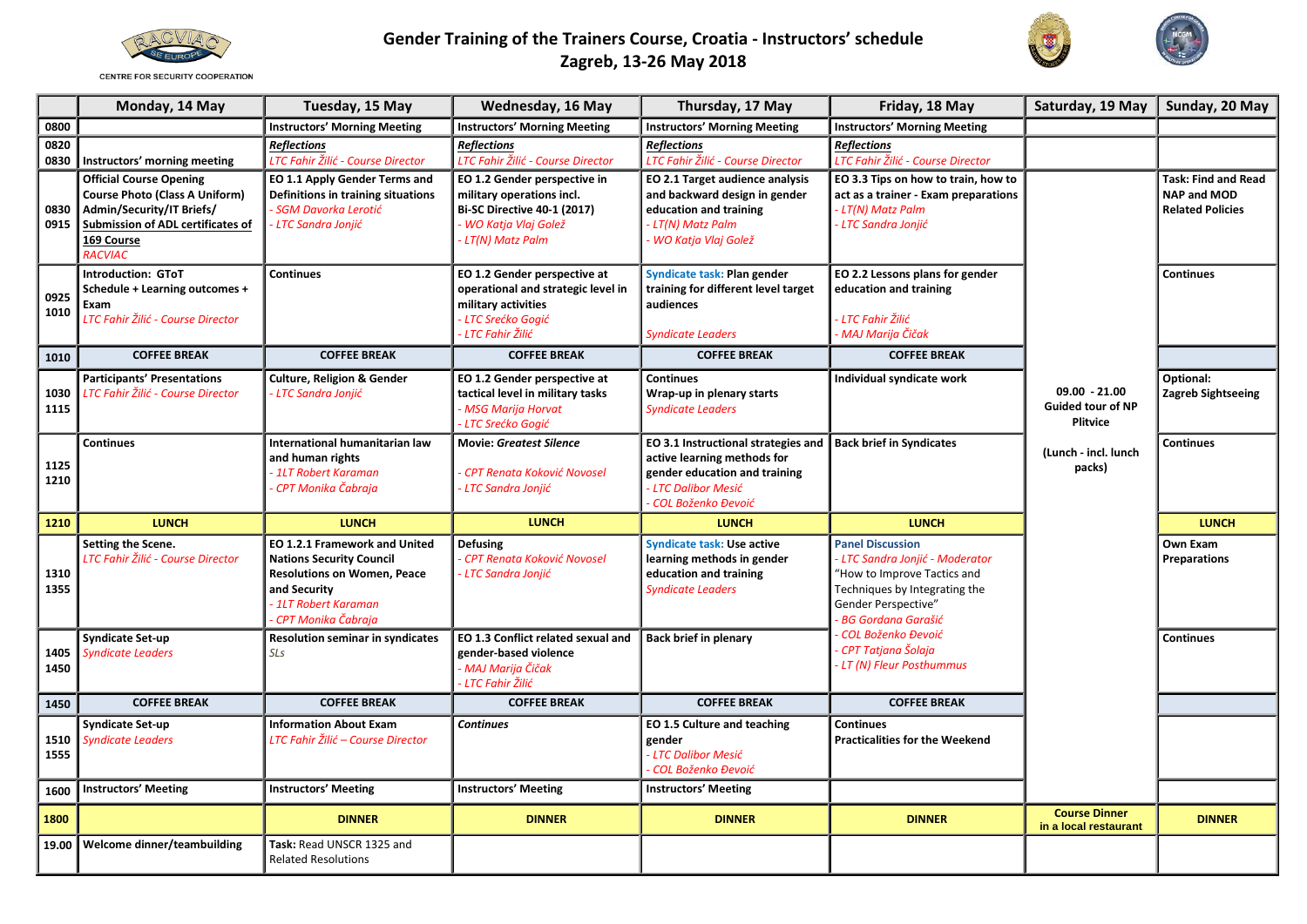

**CENTRE FOR SECURITY COOPERATION** 

## **Gender Training of the Trainers Course, Croatia - Instructors' schedule Zagreb, 13-26 May 2018**



|              | Monday, 14 May                                                                                                                                                            | Tuesday, 15 May                                                                                                                                                        | Wednesday, 16 May                                                                                                                             | Thursday, 17 May                                                                                                                                   | Friday, 18 May                                                                                                                                                                 | Saturday, 19 May                                               | Sunday, 20 May                                                              |
|--------------|---------------------------------------------------------------------------------------------------------------------------------------------------------------------------|------------------------------------------------------------------------------------------------------------------------------------------------------------------------|-----------------------------------------------------------------------------------------------------------------------------------------------|----------------------------------------------------------------------------------------------------------------------------------------------------|--------------------------------------------------------------------------------------------------------------------------------------------------------------------------------|----------------------------------------------------------------|-----------------------------------------------------------------------------|
| 0800         |                                                                                                                                                                           | <b>Instructors' Morning Meeting</b>                                                                                                                                    | <b>Instructors' Morning Meeting</b>                                                                                                           | <b>Instructors' Morning Meeting</b>                                                                                                                | <b>Instructors' Morning Meeting</b>                                                                                                                                            |                                                                |                                                                             |
| 0820<br>0830 | Instructors' morning meeting                                                                                                                                              | <b>Reflections</b><br>LTC Fahir Žilić - Course Director                                                                                                                | <b>Reflections</b><br>LTC Fahir Žilić - Course Director                                                                                       | <b>Reflections</b><br>LTC Fahir Žilić - Course Director                                                                                            | <b>Reflections</b><br>LTC Fahir Žilić - Course Director                                                                                                                        |                                                                |                                                                             |
| 0830<br>0915 | <b>Official Course Opening</b><br><b>Course Photo (Class A Uniform)</b><br>Admin/Security/IT Briefs/<br>Submission of ADL certificates of<br>169 Course<br><b>RACVIAC</b> | EO 1.1 Apply Gender Terms and<br>Definitions in training situations<br><b>SGM Davorka Lerotić</b><br><b>LTC Sandra Jonjić</b>                                          | EO 1.2 Gender perspective in<br>military operations incl.<br><b>Bi-SC Directive 40-1 (2017)</b><br>- WO Katja Vlaj Golež<br>- LT(N) Matz Palm | EO 2.1 Target audience analysis<br>and backward design in gender<br>education and training<br>- LT(N) Matz Palm<br>- WO Katja Vlaj Golež           | EO 3.3 Tips on how to train, how to<br>act as a trainer - Exam preparations<br><b>LT(N) Matz Palm</b><br><b>LTC Sandra Jonjić</b>                                              |                                                                | <b>Task: Find and Read</b><br><b>NAP and MOD</b><br><b>Related Policies</b> |
| 0925<br>1010 | <b>Introduction: GToT</b><br>Schedule + Learning outcomes +<br>Exam<br>LTC Fahir Žilić - Course Director                                                                  | <b>Continues</b>                                                                                                                                                       | EO 1.2 Gender perspective at<br>operational and strategic level in<br>military activities<br>- LTC Srećko Gogić<br>- LTC Fahir Žilić          | Syndicate task: Plan gender<br>training for different level target<br>audiences<br><b>Syndicate Leaders</b>                                        | EO 2.2 Lessons plans for gender<br>education and training<br><b>LTC Fahir Žilić</b><br>· MAJ Marija Čičak                                                                      |                                                                | <b>Continues</b>                                                            |
| 1010         | <b>COFFEE BREAK</b>                                                                                                                                                       | <b>COFFEE BREAK</b>                                                                                                                                                    | <b>COFFEE BREAK</b>                                                                                                                           | <b>COFFEE BREAK</b>                                                                                                                                | <b>COFFEE BREAK</b>                                                                                                                                                            |                                                                |                                                                             |
| 1030<br>1115 | <b>Participants' Presentations</b><br>LTC Fahir Žilić - Course Director                                                                                                   | <b>Culture, Religion &amp; Gender</b><br>- LTC Sandra Jonjić                                                                                                           | EO 1.2 Gender perspective at<br>tactical level in military tasks<br>- MSG Marija Horvat<br>- LTC Srećko Gogić                                 | <b>Continues</b><br>Wrap-up in plenary starts<br><b>Syndicate Leaders</b>                                                                          | Individual syndicate work                                                                                                                                                      | $09.00 - 21.00$<br><b>Guided tour of NP</b><br><b>Plitvice</b> | Optional:<br>Zagreb Sightseeing                                             |
| 1125<br>1210 | <b>Continues</b>                                                                                                                                                          | International humanitarian law<br>and human rights<br>1LT Robert Karaman<br>CPT Monika Čabraja                                                                         | <b>Movie: Greatest Silence</b><br>CPT Renata Koković Novosel<br>· LTC Sandra Jonjić                                                           | EO 3.1 Instructional strategies and<br>active learning methods for<br>gender education and training<br>- LTC Dalibor Mesić<br>- COL Boženko Đevoić | <b>Back brief in Syndicates</b>                                                                                                                                                | (Lunch - incl. lunch<br>packs)                                 | Continues                                                                   |
| 1210         | <b>LUNCH</b>                                                                                                                                                              | <b>LUNCH</b>                                                                                                                                                           | <b>LUNCH</b>                                                                                                                                  | <b>LUNCH</b>                                                                                                                                       | <b>LUNCH</b>                                                                                                                                                                   |                                                                | <b>LUNCH</b>                                                                |
| 1310<br>1355 | Setting the Scene.<br>LTC Fahir Žilić - Course Director                                                                                                                   | EO 1.2.1 Framework and United<br><b>Nations Security Council</b><br><b>Resolutions on Women, Peace</b><br>and Security<br>- 1LT Robert Karaman<br>- CPT Monika Čabraja | <b>Defusing</b><br>CPT Renata Koković Novosel<br>LTC Sandra Jonjić                                                                            | <b>Syndicate task: Use active</b><br>learning methods in gender<br>education and training<br><b>Syndicate Leaders</b>                              | <b>Panel Discussion</b><br>- LTC Sandra Jonjić - Moderator<br>"How to Improve Tactics and<br>Techniques by Integrating the<br>Gender Perspective"<br><b>BG Gordana Garašić</b> |                                                                | Own Exam<br><b>Preparations</b>                                             |
| 1405<br>1450 | Syndicate Set-up<br><b>Syndicate Leaders</b>                                                                                                                              | <b>Resolution seminar in syndicates</b><br>SLs                                                                                                                         | EO 1.3 Conflict related sexual and<br>gender-based violence<br>- MAJ Marija Čičak<br>· LTC Fahir Žilić                                        | <b>Back brief in plenary</b>                                                                                                                       | <b>COL Boženko Đevoić</b><br>CPT Tatjana Šolaja<br>LT (N) Fleur Posthummus                                                                                                     |                                                                | Continues                                                                   |
| 1450         | <b>COFFEE BREAK</b>                                                                                                                                                       | <b>COFFEE BREAK</b>                                                                                                                                                    | <b>COFFEE BREAK</b>                                                                                                                           | <b>COFFEE BREAK</b>                                                                                                                                | <b>COFFEE BREAK</b>                                                                                                                                                            |                                                                |                                                                             |
| 1510<br>1555 | <b>Syndicate Set-up</b><br><b>Syndicate Leaders</b>                                                                                                                       | <b>Information About Exam</b><br>LTC Fahir Žilić – Course Director                                                                                                     | <b>Continues</b>                                                                                                                              | EO 1.5 Culture and teaching<br>gender<br>- LTC Dalibor Mesić<br>- COL Boženko Đevoić                                                               | <b>Continues</b><br><b>Practicalities for the Weekend</b>                                                                                                                      |                                                                |                                                                             |
| 1600         | <b>Instructors' Meeting</b>                                                                                                                                               | <b>Instructors' Meeting</b>                                                                                                                                            | <b>Instructors' Meeting</b>                                                                                                                   | <b>Instructors' Meeting</b>                                                                                                                        |                                                                                                                                                                                |                                                                |                                                                             |
| 1800         |                                                                                                                                                                           | <b>DINNER</b>                                                                                                                                                          | <b>DINNER</b>                                                                                                                                 | <b>DINNER</b>                                                                                                                                      | <b>DINNER</b>                                                                                                                                                                  | <b>Course Dinner</b><br>in a local restaurant                  | <b>DINNER</b>                                                               |
| 19.00        | Welcome dinner/teambuilding                                                                                                                                               | Task: Read UNSCR 1325 and<br><b>Related Resolutions</b>                                                                                                                |                                                                                                                                               |                                                                                                                                                    |                                                                                                                                                                                |                                                                |                                                                             |